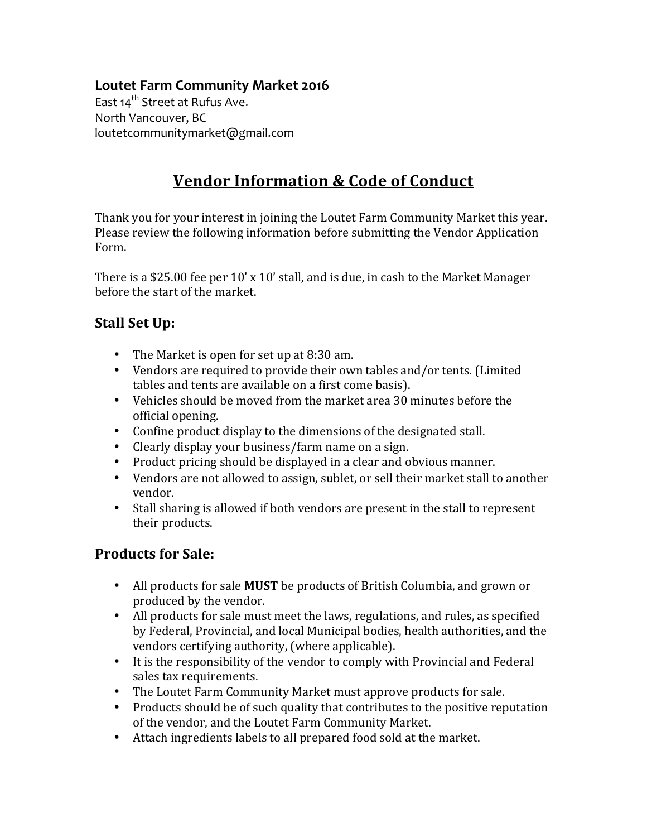## **Loutet Farm Community Market 2016**

East 14<sup>th</sup> Street at Rufus Ave. North Vancouver, BC loutetcommunitymarket@gmail.com

# **Vendor Information & Code of Conduct**

Thank you for your interest in joining the Loutet Farm Community Market this year. Please review the following information before submitting the Vendor Application Form.

There is a \$25.00 fee per  $10'$  x  $10'$  stall, and is due, in cash to the Market Manager before the start of the market.

## **Stall Set Up:**

- The Market is open for set up at 8:30 am.
- Vendors are required to provide their own tables and/or tents. (Limited tables and tents are available on a first come basis).
- Vehicles should be moved from the market area 30 minutes before the official opening.
- Confine product display to the dimensions of the designated stall.
- Clearly display your business/farm name on a sign.
- Product pricing should be displayed in a clear and obvious manner.
- Vendors are not allowed to assign, sublet, or sell their market stall to another vendor.
- Stall sharing is allowed if both vendors are present in the stall to represent their products.

# **Products for Sale:**

- All products for sale **MUST** be products of British Columbia, and grown or produced by the vendor.
- All products for sale must meet the laws, regulations, and rules, as specified by Federal, Provincial, and local Municipal bodies, health authorities, and the vendors certifying authority, (where applicable).
- It is the responsibility of the vendor to comply with Provincial and Federal sales tax requirements.
- The Loutet Farm Community Market must approve products for sale.
- Products should be of such quality that contributes to the positive reputation of the vendor, and the Loutet Farm Community Market.
- Attach ingredients labels to all prepared food sold at the market.